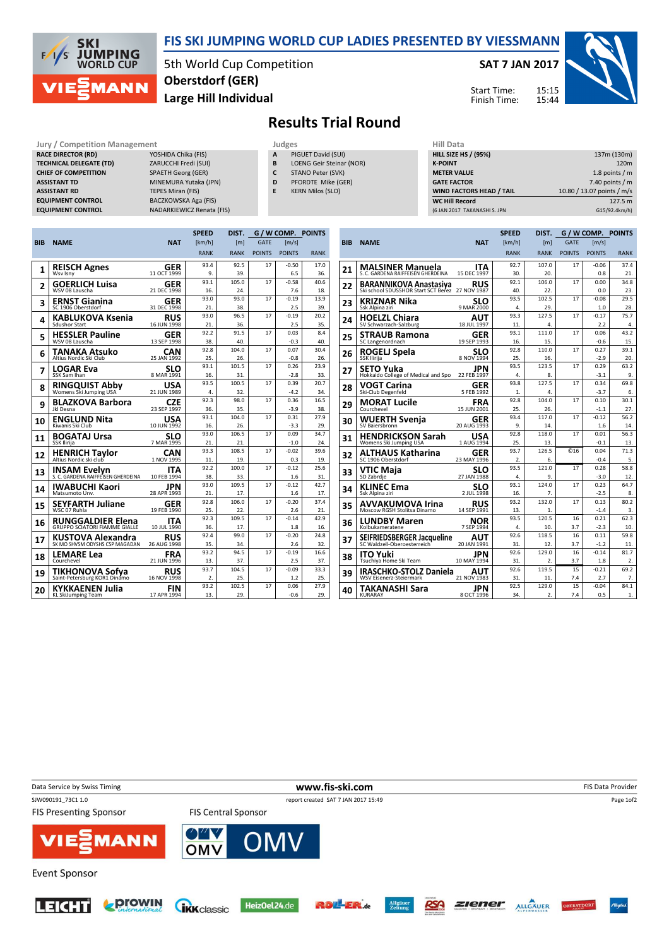

### FIS SKI JUMPING WORLD CUP LADIES PRESENTED BY VIESSMANN

5th World Cup Competition Large Hill Individual Oberstdorf (GER)

#### SAT 7 JAN 2017





# Results Trial Round

#### Jury / Competition Management<br> **RACE DIRECTOR (RD)** YOSHIDA Chika (FIS) **A** PIGUET David (SUI) **HILL SIZE** RACE DIRECTOR (RD) TECHNICAL DELEGATE (TD) CHIEF OF COMPETITION **ASSISTANT TD ASSISTANT RD EQUIPMENT CONTROL**

| Jury / Competition Management  |                                  |
|--------------------------------|----------------------------------|
| <b>RACE DIRECTOR (RD)</b>      | YOSHIDA Chika (FIS)              |
| <b>TECHNICAL DELEGATE (TD)</b> | ZARUCCHI Fredi (SUI)             |
| <b>CHIEF OF COMPETITION</b>    | <b>SPAETH Georg (GER)</b>        |
| <b>ASSISTANT TD</b>            | MINEMURA Yutaka (JPN)            |
| <b>ASSISTANT RD</b>            | <b>TEPES Miran (FIS)</b>         |
| <b>EQUIPMENT CONTROL</b>       | BACZKOWSKA Aga (FIS)             |
| <b>EQUIPMENT CONTROL</b>       | <b>NADARKIEWICZ Renata (FIS)</b> |

- 
- PIGUET David (SUI) B LOENG Geir Steinar (NOR)
- C STANO Peter (SVK)
- D PFORDTE Mike (GER)
- E KERN Milos (SLO)

| niil Data                       |                            |
|---------------------------------|----------------------------|
| <b>HILL SIZE HS / (95%)</b>     | 137m (130m)                |
| <b>K-POINT</b>                  | 120 <sub>m</sub>           |
| <b>METER VALUE</b>              | 1.8 points $/m$            |
| <b>GATE FACTOR</b>              | 7.40 points $/m$           |
| <b>WIND FACTORS HEAD / TAIL</b> | 10.80 / 13.07 points / m/s |
| <b>WC Hill Record</b>           | 127.5 m                    |
| (6 JAN 2017 TAKANASHI S. JPN    | G15/92.4km/h)              |

|            |                                                 |                           | <b>SPEED</b> | DIST.        |               |                | <b>G/W COMP. POINTS</b> |
|------------|-------------------------------------------------|---------------------------|--------------|--------------|---------------|----------------|-------------------------|
| <b>BIB</b> | <b>NAME</b>                                     | <b>NAT</b>                | [km/h]       | [m]          | <b>GATE</b>   | [m/s]          |                         |
|            |                                                 |                           | <b>RANK</b>  | <b>RANK</b>  | <b>POINTS</b> | <b>POINTS</b>  | <b>RANK</b>             |
| 1          | <b>REISCH Agnes</b>                             | <b>GER</b>                | 93.4         | 92.5         | 17            | $-0.50$        | 17.0                    |
|            | Wsv Isny                                        | 11 OCT 1999               | 9.           | 39.          |               | 6.5            | 36.                     |
| 2          | <b>GOERLICH Luisa</b>                           | <b>GER</b>                | 93.1         | 105.0        | 17            | $-0.58$        | 40.6                    |
|            | WSV 08 Lauscha                                  | 21 DEC 1998               | 16.          | 24.          |               | 7.6            | 18.                     |
| 3          | <b>ERNST Gianina</b>                            | GER                       | 93.0         | 93.0         | 17            | $-0.19$        | 13.9                    |
|            | SC 1906 Oberstdorf                              | 31 DEC 1998               | 21.          | 38.          |               | 2.5            | 39.                     |
| 4          | <b>KABLUKOVA Ksenia</b><br><b>Sdushor Start</b> | <b>RUS</b><br>16 JUN 1998 | 93.0<br>21.  | 96.5<br>36.  | 17            | $-0.19$<br>2.5 | 20.2<br>35.             |
|            |                                                 |                           | 92.2         | 91.5         | 17            | 0.03           | 8.4                     |
| 5          | <b>HESSLER Pauline</b><br>WSV 08 Lauscha        | GER<br>13 SEP 1998        | 38.          | 40.          |               | $-0.3$         | 40.                     |
|            |                                                 |                           | 92.8         | 104.0        | 17            | 0.07           | 30.4                    |
| 6          | TANAKA Atsuko<br>Altius Nordic Ski Club         | CAN<br>25 JAN 1992        | 25.          | 26.          |               | $-0.8$         | 26.                     |
|            | <b>LOGAR Eva</b>                                | <b>SLO</b>                | 93.1         | 101.5        | 17            | 0.26           | 23.9                    |
| 7          | SSK Sam Ihan                                    | 8 MAR 1991                | 16.          | 31.          |               | $-2.8$         | 33.                     |
|            | <b>RINGQUIST Abby</b>                           | USA                       | 93.5         | 100.5        | 17            | 0.39           | 20.7                    |
| 8          | Womens Ski Jumping USA                          | 21 JUN 1989               | 4.           | 32.          |               | $-4.2$         | 34.                     |
| 9          | <b>BLAZKOVA Barbora</b>                         | <b>CZE</b>                | 92.3         | 98.0         | 17            | 0.36           | 16.5                    |
|            | Jkl Desna                                       | 23 SEP 1997               | 36.          | 35.          |               | $-3.9$         | 38.                     |
| 10         | <b>ENGLUND Nita</b>                             | <b>USA</b>                | 93.1         | 104.0        | 17            | 0.31           | 27.9                    |
|            | Kiwanis Ski Club                                | 10 JUN 1992               | 16.          | 26.          |               | $-3.3$         | 29.                     |
| 11         | <b>BOGATAJ Ursa</b>                             | SLO                       | 93.0         | 106.5        | 17            | 0.09           | 34.7                    |
|            | SSK Ilirija                                     | 7 MAR 1995                | 21.          | 21.          |               | $-1.0$         | 24.                     |
| 12         | <b>HENRICH Taylor</b>                           | CAN                       | 93.3         | 108.5        | 17            | $-0.02$        | 39.6                    |
|            | Altius Nordic ski club                          | 1 NOV 1995                | 11.          | 19.          |               | 0.3            | 19.                     |
| 13         | <b>INSAM Evelyn</b>                             | ITA<br>10 FEB 1994        | 92.2<br>38.  | 100.0        | 17            | $-0.12$        | 25.6                    |
|            | S. C. GARDENA RAIFFEISEN GHERDEINA              |                           | 93.0         | 33.<br>109.5 | 17            | 1.6<br>$-0.12$ | 31.<br>42.7             |
| 14         | <b>IWABUCHI Kaori</b><br>Matsumoto Unv.         | JPN<br>28 APR 1993        | 21.          | 17.          |               | 1.6            | 17.                     |
|            |                                                 |                           | 92.8         | 106.0        | 17            | $-0.20$        | 37.4                    |
| 15         | <b>SEYFARTH Juliane</b><br>WSC 07 Ruhla         | GER<br>19 FEB 1990        | 25.          | 22.          |               | 2.6            | 21.                     |
|            | RUNGGALDIER Elena                               | ITA                       | 92.3         | 109.5        | 17            | $-0.14$        | 42.9                    |
| 16         | <b>GRUPPO SCIATORI FIAMME GIALLE</b>            | 10 JUL 1990               | 36.          | 17.          |               | 1.8            | 16.                     |
| 17         | <b>KUSTOVA Alexandra</b>                        | <b>RUS</b>                | 92.4         | 99.0         | 17            | $-0.20$        | 24.8                    |
|            | SK MO SHVSM ODYSHS CSP MAGADAN                  | 26 AUG 1998               | 35.          | 34.          |               | 2.6            | 32.                     |
| 18         | <b>LEMARE Lea</b>                               | <b>FRA</b>                | 93.2         | 94.5         | 17            | $-0.19$        | 16.6                    |
|            | Courchevel                                      | 21 JUN 1996               | 13.          | 37.          |               | 2.5            | 37.                     |
| 19         | <b>TIKHONOVA Sofya</b>                          | <b>RUS</b>                | 93.7         | 104.5        | 17            | $-0.09$        | 33.3                    |
|            | Saint-Petersburg KOR1 Dinamo                    | 16 NOV 1998               | 2.           | 25.          |               | 1.2            | 25.                     |
| 20         | KYKKAENEN Julia                                 | FIN                       | 93.2         | 102.5        | 17            | 0.06           | 27.9                    |
|            | KL SkiJumping Team                              | 17 APR 1994               | 13.          | 29.          |               | $-0.6$         | 29.                     |

|            |                                                  |                    | <b>SPEED</b> | DIST.            |                 |                       | G / W COMP. POINTS |
|------------|--------------------------------------------------|--------------------|--------------|------------------|-----------------|-----------------------|--------------------|
| <b>BIB</b> | <b>NAME</b>                                      | <b>NAT</b>         | [km/h]       | [m]              | <b>GATE</b>     | $\lfloor m/s \rfloor$ |                    |
|            |                                                  |                    | <b>RANK</b>  | <b>RANK</b>      | <b>POINTS</b>   | <b>POINTS</b>         | <b>RANK</b>        |
|            | <b>MALSINER Manuela</b>                          | <b>ITA</b>         | 92.7         | 107.0            | 17              | $-0.06$               | 37.4               |
| 21         | S. C. GARDENA RAIFFEISEN GHERDEINA               | 15 DEC 1997        | 30.          | 20.              |                 | 0.8                   | 21.                |
| 22         | <b>BARANNIKOVA Anastasiya</b>                    | <b>RUS</b>         | 92.1         | 106.0            | 17              | 0.00                  | 34.8               |
|            | Ski school SDUSSHOR Start SCT Berez              | 27 NOV 1987        | 40.          | 22.              |                 | 0.0                   | 23.                |
| 23         | <b>KRIZNAR Nika</b>                              | SLO                | 93.5         | 102.5            | 17              | $-0.08$               | 29.5               |
|            | Ssk Alpina ziri                                  | 9 MAR 2000         | 4.           | 29.              |                 | 1.0                   | 28.                |
| 24         | <b>HOELZL Chiara</b>                             | AUT                | 93.3         | 127.5            | 17              | $-0.17$               | 75.7               |
|            | SV Schwarzach-Salzburg                           | 18 JUL 1997        | 11.<br>93.1  | 4.               |                 | 2.2<br>0.06           | 4.                 |
| 25         | <b>STRAUB Ramona</b>                             | GER                |              | 111.0            | 17              |                       | 43.2               |
|            | SC Langenordnach                                 | 19 SEP 1993        | 16.<br>92.8  | 15.<br>110.0     | 17              | $-0.6$<br>0.27        | 15.<br>39.1        |
| 26         | <b>ROGELJ Spela</b><br>SSK Ilirija               | SLO<br>8 NOV 1994  | 25.          | 16.              |                 | $-2.9$                | 20.                |
|            |                                                  | <b>JPN</b>         | 93.5         | 123.5            | 17              | 0.29                  | 63.2               |
| 27         | SETO Yuka<br>Hokkaido College of Medical and Spo | 22 FEB 1997        | 4.           | 8.               |                 | $-3.1$                | 9.                 |
|            | <b>VOGT Carina</b>                               | <b>GER</b>         | 93.8         | 127.5            | 17              | 0.34                  | 69.8               |
| 28         | Ski-Club Degenfeld                               | 5 FEB 1992         | 1.           | 4.               |                 | $-3.7$                | 6.                 |
| 29         | <b>MORAT Lucile</b>                              | FRA                | 92.8         | 104.0            | 17              | 0.10                  | 30.1               |
|            | Courchevel                                       | 15 JUN 2001        | 25.          | 26.              |                 | $-1.1$                | 27.                |
| 30         | <b>WUERTH Svenja</b>                             | GER                | 93.4         | 117.0            | 17              | $-0.12$               | 56.2               |
|            | SV Baiersbronn                                   | 20 AUG 1993        | 9.           | 14.              |                 | 1.6                   | 14.                |
| 31         | <b>HENDRICKSON Sarah</b>                         | USA                | 92.8         | 118.0            | 17              | 0.01                  | 56.3               |
|            | Womens Ski Jumping USA                           | 1 AUG 1994         | 25.          | 13.              |                 | $-0.1$                | 13.                |
| 32         | ALTHAUS Katharina                                | GER                | 93.7         | 126.5            | C <sub>16</sub> | 0.04                  | 71.3               |
|            | SC 1906 Oberstdorf                               | 23 MAY 1996        | 2.<br>93.5   | 6.<br>121.0      | 17              | $-0.4$<br>0.28        | 5.<br>58.8         |
| 33         | VTIC Maja<br>SD Zabrdje                          | SLO<br>27 JAN 1988 | 4.           | 9.               |                 | $-3.0$                | 12.                |
|            | <b>KLINEC Ema</b>                                | SLO                | 93.1         | 124.0            | 17              | 0.23                  | 64.7               |
| 34         | Ssk Alpina ziri                                  | 2 JUL 1998         | 16.          | 7.               |                 | $-2.5$                | 8.                 |
|            | AVVAKUMOVA Irina                                 | <b>RUS</b>         | 93.2         | 132.0            | 17              | 0.13                  | 80.2               |
| 35         | Moscow RGSH Stolitsa Dinamo                      | 14 SEP 1991        | 13.          | 1.               |                 | $-1.4$                | 3.                 |
| 36         | <b>LUNDBY Maren</b>                              | NOR                | 93.5         | 120.5            | 16              | 0.21                  | 62.3               |
|            | Kolbukameratene                                  | 7 SEP 1994         | 4.           | 10.              | 3.7             | $-2.3$                | 10.                |
| 37         | SEIFRIEDSBERGER Jacqueline                       | AUT                | 92.6         | 118.5            | 16              | 0.11                  | 59.8               |
|            | SC Waldzell-Oberoesterreich                      | 20 JAN 1991        | 31.          | 12.              | 3.7             | $-1.2$                | 11.                |
| 38         | ITO Yuki                                         | JPN                | 92.6         | 129.0            | 16              | $-0.14$               | 81.7               |
|            | Tsuchiya Home Ski Team                           | 10 MAY 1994        | 31.          | 2.               | 3.7             | 1.8                   | 2.                 |
| 39         | <b>IRASCHKO-STOLZ Daniela</b>                    | AUT                | 92.6         | 119.5            | 15              | $-0.21$               | 69.2               |
|            | <b>WSV Eisenerz-Steiermark</b>                   | 21 NOV 1983        | 31.<br>92.5  | 11.<br>129.0     | 7.4<br>15       | 2.7<br>$-0.04$        | 7.<br>84.1         |
| 40         | TAKANASHI Sara<br><b>KURARAY</b>                 | JPN<br>8 OCT 1996  | 34.          | $\overline{2}$ . | 7.4             | 0.5                   | 1.                 |
|            |                                                  |                    |              |                  |                 |                       |                    |